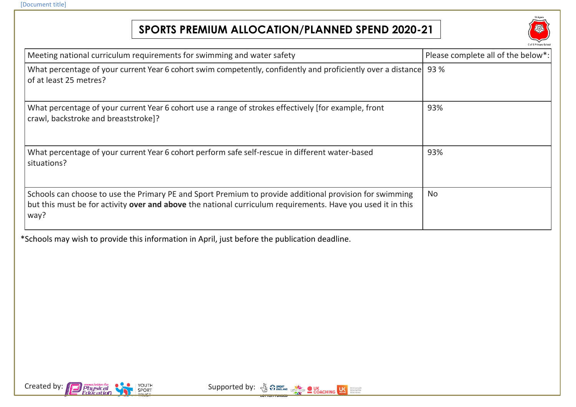## **SPORTS PREMIUM ALLOCATION/PLANNED SPEND 2020-21**



| Meeting national curriculum requirements for swimming and water safety                                                                                                                                                         | Please complete all of the below*: |
|--------------------------------------------------------------------------------------------------------------------------------------------------------------------------------------------------------------------------------|------------------------------------|
| What percentage of your current Year 6 cohort swim competently, confidently and proficiently over a distance<br>of at least 25 metres?                                                                                         | 93 %                               |
| What percentage of your current Year 6 cohort use a range of strokes effectively [for example, front<br>crawl, backstroke and breaststroke]?                                                                                   | 93%                                |
| What percentage of your current Year 6 cohort perform safe self-rescue in different water-based<br>situations?                                                                                                                 | 93%                                |
| Schools can choose to use the Primary PE and Sport Premium to provide additional provision for swimming<br>but this must be for activity over and above the national curriculum requirements. Have you used it in this<br>way? | <b>No</b>                          |

\*Schools may wish to provide this information in April, just before the publication deadline.



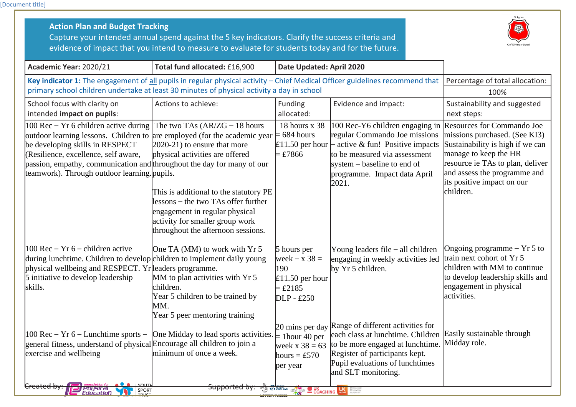[Document title]

| Academic Year: 2020/21                                                                                                                                                                                                                                                                                                     | evidence of impact that you intend to measure to evaluate for students today and for the future.<br>Total fund allocated: £16,900                                                                                                                                                              | Date Updated: April 2020                                                              |                                                                                                                                                                                                                                             |                                                                                                                                                                                                                                         |
|----------------------------------------------------------------------------------------------------------------------------------------------------------------------------------------------------------------------------------------------------------------------------------------------------------------------------|------------------------------------------------------------------------------------------------------------------------------------------------------------------------------------------------------------------------------------------------------------------------------------------------|---------------------------------------------------------------------------------------|---------------------------------------------------------------------------------------------------------------------------------------------------------------------------------------------------------------------------------------------|-----------------------------------------------------------------------------------------------------------------------------------------------------------------------------------------------------------------------------------------|
| Key indicator 1: The engagement of all pupils in regular physical activity - Chief Medical Officer guidelines recommend that<br>primary school children undertake at least 30 minutes of physical activity a day in school                                                                                                 | Percentage of total allocation:<br>100%                                                                                                                                                                                                                                                        |                                                                                       |                                                                                                                                                                                                                                             |                                                                                                                                                                                                                                         |
| School focus with clarity on<br>intended impact on pupils:                                                                                                                                                                                                                                                                 | Actions to achieve:                                                                                                                                                                                                                                                                            | Funding<br>allocated:                                                                 | Evidence and impact:                                                                                                                                                                                                                        | Sustainability and suggested<br>next steps:                                                                                                                                                                                             |
| $100$ Rec – Yr 6 children active during<br>outdoor learning lessons. Children to are employed (for the academic year<br>be developing skills in RESPECT<br>(Resilience, excellence, self aware,<br>passion, empathy, communication and throughout the day for many of our<br>teamwork). Through outdoor learning . pupils. | The two TAs $(AR/ZG - 18$ hours<br>2020-21) to ensure that more<br>physical activities are offered<br>This is additional to the statutory PE<br>lessons – the two TAs offer further<br>engagement in regular physical<br>activity for smaller group work<br>throughout the afternoon sessions. | 18 hours x 38<br>$= 684$ hours<br>$=$ £7866                                           | 100 Rec-Y6 children engaging in<br>regular Commando Joe missions<br><b>E11.50</b> per hour $\vdash$ active & fun! Positive impacts<br>to be measured via assessment<br>system – baseline to end of<br>programme. Impact data April<br>2021. | Resources for Commando Joe<br>missions purchased. (See KI3)<br>Sustainability is high if we can<br>manage to keep the HR<br>resource ie TAs to plan, deliver<br>and assess the programme and<br>its positive impact on our<br>children. |
| $100$ Rec – Yr 6 – children active<br>during lunchtime. Children to develop children to implement daily young<br>physical wellbeing and RESPECT. Yr leaders programme.<br>5 initiative to develop leadership<br>skills.                                                                                                    | One TA (MM) to work with Yr 5<br>MM to plan activities with Yr 5<br>children.<br>Year 5 children to be trained by<br>MM.<br>Year 5 peer mentoring training                                                                                                                                     | 5 hours per<br>week $- x 38 =$<br>190<br>$£11.50$ per hour<br>$=$ £2185<br>DLP - £250 | Young leaders file $-$ all children<br>engaging in weekly activities led<br>by Yr 5 children.                                                                                                                                               | Ongoing programme $- Yr 5$ to<br>train next cohort of Yr 5<br>children with MM to continue<br>to develop leadership skills and<br>engagement in physical<br>activities.                                                                 |
| $100$ Rec – Yr 6 – Lunchtime sports –<br>general fitness, understand of physical Encourage all children to join a<br>exercise and wellbeing                                                                                                                                                                                | One Midday to lead sports activities.<br>minimum of once a week.                                                                                                                                                                                                                               | $=$ 1 hour 40 per<br>week $x 38 = 63$<br>hours = $£570$<br>per year                   | 20 mins per day Range of different activities for<br>each class at lunchtime. Children<br>to be more engaged at lunchtime.<br>Register of participants kept.<br>Pupil evaluations of lunchtimes<br>and SLT monitoring.                      | Easily sustainable through<br>Midday role.                                                                                                                                                                                              |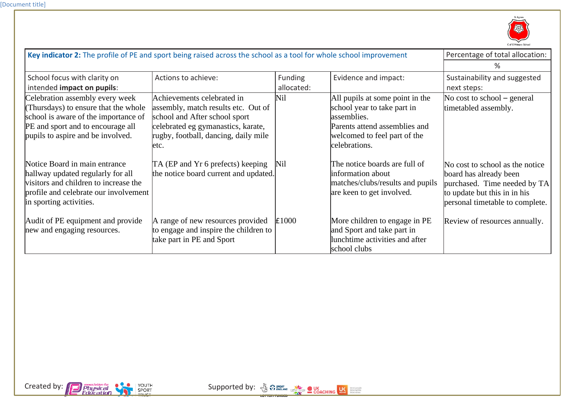

| Key indicator 2: The profile of PE and sport being raised across the school as a tool for whole school improvement                                                                        |                                                                                                                                                                                           |                       |                                                                                                                                                                 | Percentage of total allocation:                                                                                                                              |
|-------------------------------------------------------------------------------------------------------------------------------------------------------------------------------------------|-------------------------------------------------------------------------------------------------------------------------------------------------------------------------------------------|-----------------------|-----------------------------------------------------------------------------------------------------------------------------------------------------------------|--------------------------------------------------------------------------------------------------------------------------------------------------------------|
|                                                                                                                                                                                           |                                                                                                                                                                                           |                       |                                                                                                                                                                 | ℅                                                                                                                                                            |
| School focus with clarity on<br>intended impact on pupils:                                                                                                                                | Actions to achieve:                                                                                                                                                                       | Funding<br>allocated: | Evidence and impact:                                                                                                                                            | Sustainability and suggested<br>next steps:                                                                                                                  |
| Celebration assembly every week<br>(Thursdays) to ensure that the whole<br>school is aware of the importance of<br>PE and sport and to encourage all<br>pupils to aspire and be involved. | Achievements celebrated in<br>assembly, match results etc. Out of<br>school and After school sport<br>celebrated eg gymanastics, karate,<br>rugby, football, dancing, daily mile<br>letc. | Nil                   | All pupils at some point in the<br>school year to take part in<br>assemblies.<br>Parents attend assemblies and<br>welcomed to feel part of the<br>celebrations. | No cost to school $-$ general<br>timetabled assembly.                                                                                                        |
| Notice Board in main entrance<br>hallway updated regularly for all<br>visitors and children to increase the<br>profile and celebrate our involvement<br>in sporting activities.           | TA (EP and Yr 6 prefects) keeping<br>the notice board current and updated.                                                                                                                | Nil                   | The notice boards are full of<br>information about<br>matches/clubs/results and pupils<br>are keen to get involved.                                             | No cost to school as the notice<br>board has already been<br>purchased. Time needed by TA<br>to update but this in in his<br>personal timetable to complete. |
| Audit of PE equipment and provide<br>new and engaging resources.                                                                                                                          | A range of new resources provided<br>to engage and inspire the children to<br>take part in PE and Sport                                                                                   | £1000                 | More children to engage in PE<br>and Sport and take part in<br>lunchtime activities and after<br>school clubs                                                   | Review of resources annually.                                                                                                                                |

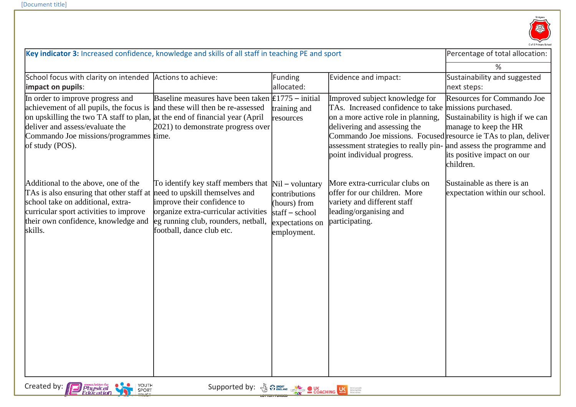

| Key indicator 3: Increased confidence, knowledge and skills of all staff in teaching PE and sport                                                                                                                                                          |                                                                                                                                                                                                                  |                                                                                                          | Percentage of total allocation:                                                                                                                                                                                                                                                                                                     |                                                                                                                                           |
|------------------------------------------------------------------------------------------------------------------------------------------------------------------------------------------------------------------------------------------------------------|------------------------------------------------------------------------------------------------------------------------------------------------------------------------------------------------------------------|----------------------------------------------------------------------------------------------------------|-------------------------------------------------------------------------------------------------------------------------------------------------------------------------------------------------------------------------------------------------------------------------------------------------------------------------------------|-------------------------------------------------------------------------------------------------------------------------------------------|
|                                                                                                                                                                                                                                                            |                                                                                                                                                                                                                  |                                                                                                          |                                                                                                                                                                                                                                                                                                                                     | %                                                                                                                                         |
| School focus with clarity on intended<br>impact on pupils:                                                                                                                                                                                                 | Actions to achieve:                                                                                                                                                                                              | <b>Funding</b><br>allocated:                                                                             | Evidence and impact:                                                                                                                                                                                                                                                                                                                | Sustainability and suggested<br>next steps:                                                                                               |
| In order to improve progress and<br>achievement of all pupils, the focus is<br>on upskilling the two TA staff to plan, at the end of financial year (April<br>deliver and assess/evaluate the<br>Commando Joe missions/programmes time.<br>of study (POS). | Baseline measures have been taken $\text{\pounds}1775$ – initial<br>and these will then be re-assessed<br>2021) to demonstrate progress over                                                                     | training and<br>resources                                                                                | Improved subject knowledge for<br>TAs. Increased confidence to take missions purchased.<br>on a more active role in planning,<br>delivering and assessing the<br>Commando Joe missions. Focused resource ie TAs to plan, deliver<br>assessment strategies to really pin- and assess the programme and<br>point individual progress. | <b>Resources for Commando Joe</b><br>Sustainability is high if we can<br>manage to keep the HR<br>its positive impact on our<br>children. |
| Additional to the above, one of the<br>TAs is also ensuring that other staff at<br>school take on additional, extra-<br>curricular sport activities to improve<br>their own confidence, knowledge and<br>skills.                                           | To identify key staff members that<br>need to upskill themselves and<br>improve their confidence to<br>organize extra-curricular activities<br>leg running club, rounders, netball,<br>football, dance club etc. | $Nil - voluntary$<br>contributions<br>(hours) from<br>$staff - school$<br>expectations on<br>employment. | More extra-curricular clubs on<br>offer for our children. More<br>variety and different staff<br>leading/organising and<br>participating.                                                                                                                                                                                           | Sustainable as there is an<br>expectation within our school.                                                                              |
| Created by:<br>YOUTH<br>association for<br>Physical<br>Education<br>SPORT<br>TRUST                                                                                                                                                                         |                                                                                                                                                                                                                  |                                                                                                          |                                                                                                                                                                                                                                                                                                                                     |                                                                                                                                           |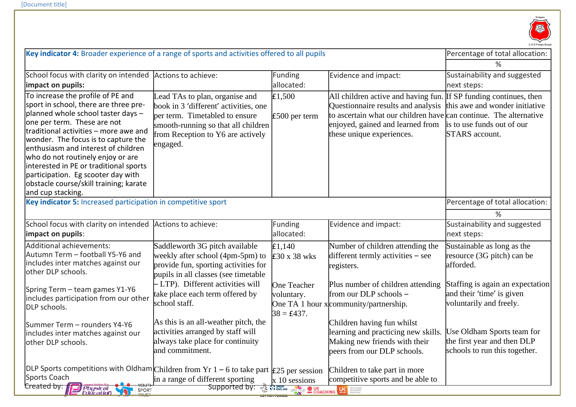

| Key indicator 4: Broader experience of a range of sports and activities offered to all pupils                          |                                                                              |                           |                                                                                                         | Percentage of total allocation:  |
|------------------------------------------------------------------------------------------------------------------------|------------------------------------------------------------------------------|---------------------------|---------------------------------------------------------------------------------------------------------|----------------------------------|
|                                                                                                                        |                                                                              |                           |                                                                                                         | ℅                                |
| School focus with clarity on intended Actions to achieve:                                                              |                                                                              | Funding                   | Evidence and impact:                                                                                    | Sustainability and suggested     |
| impact on pupils:                                                                                                      |                                                                              | allocated:                |                                                                                                         | next steps:                      |
| To increase the profile of PE and<br>sport in school, there are three pre-                                             | Lead TAs to plan, organise and                                               | E1,500                    | All children active and having fun.                                                                     | If SP funding continues, then    |
| planned whole school taster days -                                                                                     | book in 3 'different' activities, one<br>per term. Timetabled to ensure      |                           | Questionnaire results and analysis<br>to ascertain what our children have can continue. The alternative | this awe and wonder initiative   |
| one per term. These are not                                                                                            | smooth-running so that all children                                          | $£500$ per term           | enjoyed, gained and learned from                                                                        | is to use funds out of our       |
| traditional activities - more awe and                                                                                  | from Reception to Y6 are actively                                            |                           | these unique experiences.                                                                               | STARS account.                   |
| wonder. The focus is to capture the                                                                                    | engaged.                                                                     |                           |                                                                                                         |                                  |
| enthusiasm and interest of children<br>who do not routinely enjoy or are                                               |                                                                              |                           |                                                                                                         |                                  |
| interested in PE or traditional sports                                                                                 |                                                                              |                           |                                                                                                         |                                  |
| participation. Eg scooter day with                                                                                     |                                                                              |                           |                                                                                                         |                                  |
| obstacle course/skill training; karate                                                                                 |                                                                              |                           |                                                                                                         |                                  |
| and cup stacking.                                                                                                      |                                                                              |                           |                                                                                                         |                                  |
| Key indicator 5: Increased participation in competitive sport                                                          |                                                                              |                           |                                                                                                         | Percentage of total allocation:  |
|                                                                                                                        |                                                                              |                           |                                                                                                         | %                                |
| School focus with clarity on intended Actions to achieve:                                                              |                                                                              | Funding                   | Evidence and impact:                                                                                    | Sustainability and suggested     |
| impact on pupils:                                                                                                      |                                                                              | allocated:                |                                                                                                         | next steps:                      |
| Additional achievements:                                                                                               | Saddleworth 3G pitch available                                               | E1,140                    | Number of children attending the                                                                        | Sustainable as long as the       |
| Autumn Term - football Y5-Y6 and<br>includes inter matches against our                                                 | weekly after school (4pm-5pm) to                                             | £30 x 38 wks              | different termly activities - see                                                                       | resource (3G pitch) can be       |
| other DLP schools.                                                                                                     | provide fun, sporting activities for<br>pupils in all classes (see timetable |                           | registers.                                                                                              | afforded.                        |
|                                                                                                                        | - LTP). Different activities will                                            | One Teacher               | Plus number of children attending                                                                       | Staffing is again an expectation |
| Spring Term - team games Y1-Y6                                                                                         | take place each term offered by                                              | voluntary.                | from our DLP schools -                                                                                  | and their 'time' is given        |
| includes participation from our other<br>DLP schools.                                                                  | school staff.                                                                |                           | One TA 1 hour x community/partnership.                                                                  | voluntarily and freely.          |
|                                                                                                                        |                                                                              | $38 = \text{\pounds}437.$ |                                                                                                         |                                  |
| Summer Term - rounders Y4-Y6                                                                                           | As this is an all-weather pitch, the                                         |                           | Children having fun whilst                                                                              |                                  |
| includes inter matches against our                                                                                     | activities arranged by staff will                                            |                           | learning and practicing new skills.                                                                     | Use Oldham Sports team for       |
| other DLP schools.                                                                                                     | always take place for continuity                                             |                           | Making new friends with their                                                                           | the first year and then DLP      |
|                                                                                                                        | and commitment.                                                              |                           | peers from our DLP schools.                                                                             | schools to run this together.    |
| DLP Sports competitions with Oldham Children from Yr $1 - 6$ to take part $\vert \text{£}25 \text{ per session} \vert$ |                                                                              |                           | Children to take part in more                                                                           |                                  |
| Sports Coach                                                                                                           | in a range of different sporting                                             | x 10 sessions             | competitive sports and be able to                                                                       |                                  |
| Created by:<br>Physical<br>Education<br>SPORT<br><b>SOFI</b>                                                           |                                                                              |                           |                                                                                                         |                                  |